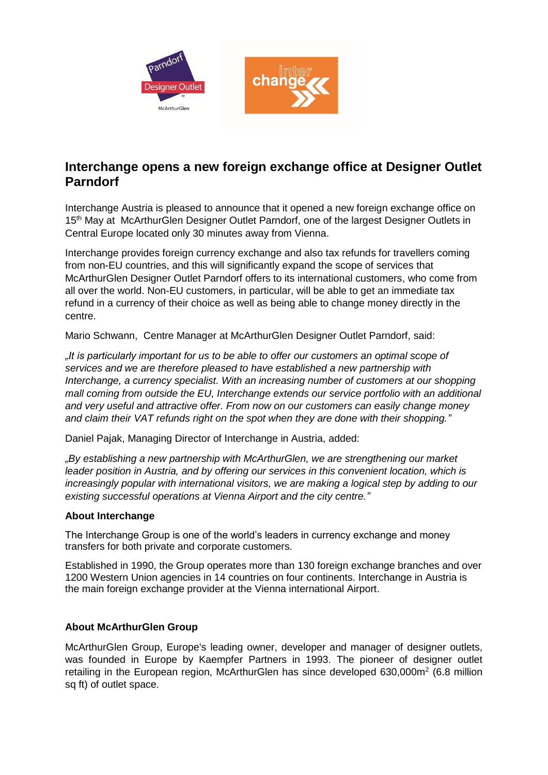



## **Interchange opens a new foreign exchange office at Designer Outlet Parndorf**

Interchange Austria is pleased to announce that it opened a new foreign exchange office on 15<sup>th</sup> May at McArthurGlen Designer Outlet Parndorf, one of the largest Designer Outlets in Central Europe located only 30 minutes away from Vienna.

Interchange provides foreign currency exchange and also tax refunds for travellers coming from non-EU countries, and this will significantly expand the scope of services that McArthurGlen Designer Outlet Parndorf offers to its international customers, who come from all over the world. Non-EU customers, in particular, will be able to get an immediate tax refund in a currency of their choice as well as being able to change money directly in the centre.

Mario Schwann, Centre Manager at McArthurGlen Designer Outlet Parndorf, said:

*"It is particularly important for us to be able to offer our customers an optimal scope of services and we are therefore pleased to have established a new partnership with Interchange, a currency specialist. With an increasing number of customers at our shopping mall coming from outside the EU, Interchange extends our service portfolio with an additional and very useful and attractive offer. From now on our customers can easily change money and claim their VAT refunds right on the spot when they are done with their shopping."*

Daniel Pajak, Managing Director of Interchange in Austria, added:

*"By establishing a new partnership with McArthurGlen, we are strengthening our market leader position in Austria, and by offering our services in this convenient location, which is increasingly popular with international visitors, we are making a logical step by adding to our existing successful operations at Vienna Airport and the city centre."*

## **About Interchange**

The Interchange Group is one of the world's leaders in currency exchange and money transfers for both private and corporate customers.

Established in 1990, the Group operates more than 130 foreign exchange branches and over 1200 Western Union agencies in 14 countries on four continents. Interchange in Austria is the main foreign exchange provider at the Vienna international Airport.

## **About McArthurGlen Group**

McArthurGlen Group, Europe's leading owner, developer and manager of designer outlets, was founded in Europe by Kaempfer Partners in 1993. The pioneer of designer outlet retailing in the European region, McArthurGlen has since developed  $630,000m^2$  (6.8 million sq ft) of outlet space.